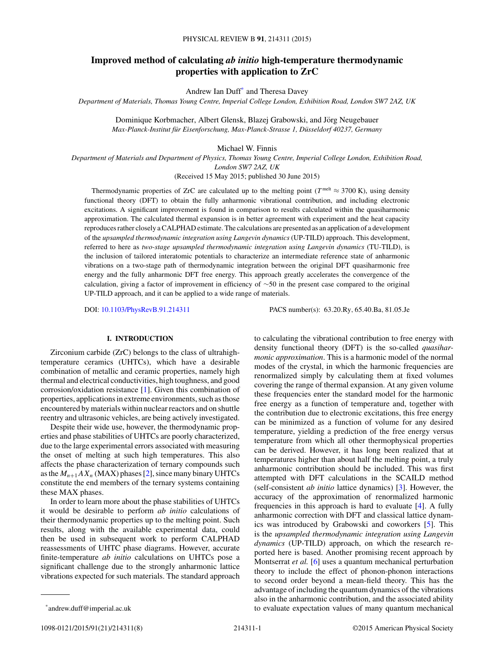# **Improved method of calculating** *ab initio* **high-temperature thermodynamic properties with application to ZrC**

Andrew Ian Duff\* and Theresa Davey

*Department of Materials, Thomas Young Centre, Imperial College London, Exhibition Road, London SW7 2AZ, UK*

Dominique Korbmacher, Albert Glensk, Blazej Grabowski, and Jörg Neugebauer *Max-Planck-Institut für Eisenforschung, Max-Planck-Strasse 1, Düsseldorf 40237, Germany* 

Michael W. Finnis

*Department of Materials and Department of Physics, Thomas Young Centre, Imperial College London, Exhibition Road, London SW7 2AZ, UK*

(Received 15 May 2015; published 30 June 2015)

Thermodynamic properties of ZrC are calculated up to the melting point ( $T^{\text{melt}} \approx 3700 \text{ K}$ ), using density functional theory (DFT) to obtain the fully anharmonic vibrational contribution, and including electronic excitations. A significant improvement is found in comparison to results calculated within the quasiharmonic approximation. The calculated thermal expansion is in better agreement with experiment and the heat capacity reproduces rather closely a CALPHAD estimate. The calculations are presented as an application of a development of the *upsampled thermodynamic integration using Langevin dynamics* (UP-TILD) approach. This development, referred to here as *two-stage upsampled thermodynamic integration using Langevin dynamics* (TU-TILD), is the inclusion of tailored interatomic potentials to characterize an intermediate reference state of anharmonic vibrations on a two-stage path of thermodynamic integration between the original DFT quasiharmonic free energy and the fully anharmonic DFT free energy. This approach greatly accelerates the convergence of the calculation, giving a factor of improvement in efficiency of ∼50 in the present case compared to the original UP-TILD approach, and it can be applied to a wide range of materials.

DOI: [10.1103/PhysRevB.91.214311](http://dx.doi.org/10.1103/PhysRevB.91.214311) PACS number(s): 63*.*20*.*Ry*,* 65*.*40*.*Ba*,* 81*.*05*.*Je

### **I. INTRODUCTION**

Zirconium carbide (ZrC) belongs to the class of ultrahightemperature ceramics (UHTCs), which have a desirable combination of metallic and ceramic properties, namely high thermal and electrical conductivities, high toughness, and good corrosion/oxidation resistance [\[1\]](#page-6-0). Given this combination of properties, applications in extreme environments, such as those encountered by materials within nuclear reactors and on shuttle reentry and ultrasonic vehicles, are being actively investigated.

Despite their wide use, however, the thermodynamic properties and phase stabilities of UHTCs are poorly characterized, due to the large experimental errors associated with measuring the onset of melting at such high temperatures. This also affects the phase characterization of ternary compounds such as the  $M_{n+1}AX_n$  (MAX) phases [\[2\]](#page-6-0), since many binary UHTCs constitute the end members of the ternary systems containing these MAX phases.

In order to learn more about the phase stabilities of UHTCs it would be desirable to perform *ab initio* calculations of their thermodynamic properties up to the melting point. Such results, along with the available experimental data, could then be used in subsequent work to perform CALPHAD reassessments of UHTC phase diagrams. However, accurate finite-temperature *ab initio* calculations on UHTCs pose a significant challenge due to the strongly anharmonic lattice vibrations expected for such materials. The standard approach

to calculating the vibrational contribution to free energy with density functional theory (DFT) is the so-called *quasiharmonic approximation*. This is a harmonic model of the normal modes of the crystal, in which the harmonic frequencies are renormalized simply by calculating them at fixed volumes covering the range of thermal expansion. At any given volume these frequencies enter the standard model for the harmonic free energy as a function of temperature and, together with the contribution due to electronic excitations, this free energy can be minimized as a function of volume for any desired temperature, yielding a prediction of the free energy versus temperature from which all other thermophysical properties can be derived. However, it has long been realized that at temperatures higher than about half the melting point, a truly anharmonic contribution should be included. This was first attempted with DFT calculations in the SCAILD method (self-consistent *ab initio* lattice dynamics) [\[3\]](#page-6-0). However, the accuracy of the approximation of renormalized harmonic frequencies in this approach is hard to evaluate [\[4\]](#page-6-0). A fully anharmonic correction with DFT and classical lattice dynamics was introduced by Grabowski and coworkers [\[5\]](#page-6-0). This is the *upsampled thermodynamic integration using Langevin dynamics* (UP-TILD) approach, on which the research reported here is based. Another promising recent approach by Montserrat *et al.* [\[6\]](#page-6-0) uses a quantum mechanical perturbation theory to include the effect of phonon-phonon interactions to second order beyond a mean-field theory. This has the advantage of including the quantum dynamics of the vibrations also in the anharmonic contribution, and the associated ability to evaluate expectation values of many quantum mechanical

<sup>\*</sup>andrew.duff@imperial.ac.uk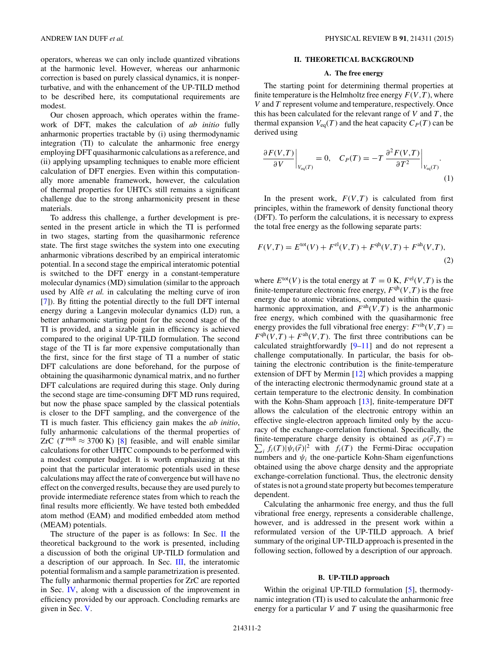<span id="page-1-0"></span>operators, whereas we can only include quantized vibrations at the harmonic level. However, whereas our anharmonic correction is based on purely classical dynamics, it is nonperturbative, and with the enhancement of the UP-TILD method to be described here, its computational requirements are modest.

Our chosen approach, which operates within the framework of DFT, makes the calculation of *ab initio* fully anharmonic properties tractable by (i) using thermodynamic integration (TI) to calculate the anharmonic free energy employing DFT quasiharmonic calculations as a reference, and (ii) applying upsampling techniques to enable more efficient calculation of DFT energies. Even within this computationally more amenable framework, however, the calculation of thermal properties for UHTCs still remains a significant challenge due to the strong anharmonicity present in these materials.

To address this challenge, a further development is presented in the present article in which the TI is performed in two stages, starting from the quasiharmonic reference state. The first stage switches the system into one executing anharmonic vibrations described by an empirical interatomic potential. In a second stage the empirical interatomic potential is switched to the DFT energy in a constant-temperature molecular dynamics (MD) simulation (similar to the approach used by Alfè *et al.* in calculating the melting curve of iron [\[7\]](#page-6-0)). By fitting the potential directly to the full DFT internal energy during a Langevin molecular dynamics (LD) run, a better anharmonic starting point for the second stage of the TI is provided, and a sizable gain in efficiency is achieved compared to the original UP-TILD formulation. The second stage of the TI is far more expensive computationally than the first, since for the first stage of TI a number of static DFT calculations are done beforehand, for the purpose of obtaining the quasiharmonic dynamical matrix, and no further DFT calculations are required during this stage. Only during the second stage are time-consuming DFT MD runs required, but now the phase space sampled by the classical potentials is closer to the DFT sampling, and the convergence of the TI is much faster. This efficiency gain makes the *ab initio*, fully anharmonic calculations of the thermal properties of ZrC ( $T^{\text{melt}} \approx 3700 \text{ K}$ ) [\[8\]](#page-6-0) feasible, and will enable similar calculations for other UHTC compounds to be performed with a modest computer budget. It is worth emphasizing at this point that the particular interatomic potentials used in these calculations may affect the rate of convergence but will have no effect on the converged results, because they are used purely to provide intermediate reference states from which to reach the final results more efficiently. We have tested both embedded atom method (EAM) and modified embedded atom method (MEAM) potentials.

The structure of the paper is as follows: In Sec.  $\Pi$  the theoretical background to the work is presented, including a discussion of both the original UP-TILD formulation and a description of our approach. In Sec. [III,](#page-2-0) the interatomic potential formalism and a sample parametrization is presented. The fully anharmonic thermal properties for ZrC are reported in Sec. [IV,](#page-3-0) along with a discussion of the improvement in efficiency provided by our approach. Concluding remarks are given in Sec. [V.](#page-6-0)

#### **II. THEORETICAL BACKGROUND**

#### **A. The free energy**

The starting point for determining thermal properties at finite temperature is the Helmholtz free energy  $F(V, T)$ , where *V* and *T* represent volume and temperature, respectively. Once this has been calculated for the relevant range of *V* and *T* , the thermal expansion  $V_{eq}(T)$  and the heat capacity  $C_P(T)$  can be derived using

$$
\frac{\partial F(V,T)}{\partial V}\bigg|_{V_{\text{eq}}(T)} = 0, \quad C_P(T) = -T \frac{\partial^2 F(V,T)}{\partial T^2}\bigg|_{V_{\text{eq}}(T)}.
$$
\n(1)

In the present work,  $F(V,T)$  is calculated from first principles, within the framework of density functional theory (DFT). To perform the calculations, it is necessary to express the total free energy as the following separate parts:

$$
F(V,T) = E^{\text{tot}}(V) + F^{\text{el}}(V,T) + F^{\text{qh}}(V,T) + F^{\text{ah}}(V,T),
$$
\n(2)

where  $E^{\text{tot}}(V)$  is the total energy at  $T = 0$  K,  $F^{\text{el}}(V, T)$  is the finite-temperature electronic free energy,  $F<sup>qh</sup>(V,T)$  is the free energy due to atomic vibrations, computed within the quasiharmonic approximation, and  $F^{ah}(V,T)$  is the anharmonic free energy, which combined with the quasiharmonic free energy provides the full vibrational free energy:  $F<sup>vib</sup>(V,T) =$  $F^{\text{qh}}(V,T) + F^{\text{ah}}(V,T)$ . The first three contributions can be calculated straightforwardly [\[9–11\]](#page-6-0) and do not represent a challenge computationally. In particular, the basis for obtaining the electronic contribution is the finite-temperature extension of DFT by Mermin [\[12\]](#page-6-0) which provides a mapping of the interacting electronic thermodynamic ground state at a certain temperature to the electronic density. In combination with the Kohn-Sham approach [\[13\]](#page-6-0), finite-temperature DFT allows the calculation of the electronic entropy within an effective single-electron approach limited only by the accuracy of the exchange-correlation functional. Specifically, the finite-temperature charge density is obtained as  $\rho(\vec{r},T) =$  $\sum_i f_i(T) |\psi_i(\vec{r})|^2$  with  $f_i(T)$  the Fermi-Dirac occupation numbers and  $\psi_i$  the one-particle Kohn-Sham eigenfunctions obtained using the above charge density and the appropriate exchange-correlation functional. Thus, the electronic density of states is not a ground state property but becomes temperature dependent.

Calculating the anharmonic free energy, and thus the full vibrational free energy, represents a considerable challenge, however, and is addressed in the present work within a reformulated version of the UP-TILD approach. A brief summary of the original UP-TILD approach is presented in the following section, followed by a description of our approach.

# **B. UP-TILD approach**

Within the original UP-TILD formulation [\[5\]](#page-6-0), thermodynamic integration (TI) is used to calculate the anharmonic free energy for a particular *V* and *T* using the quasiharmonic free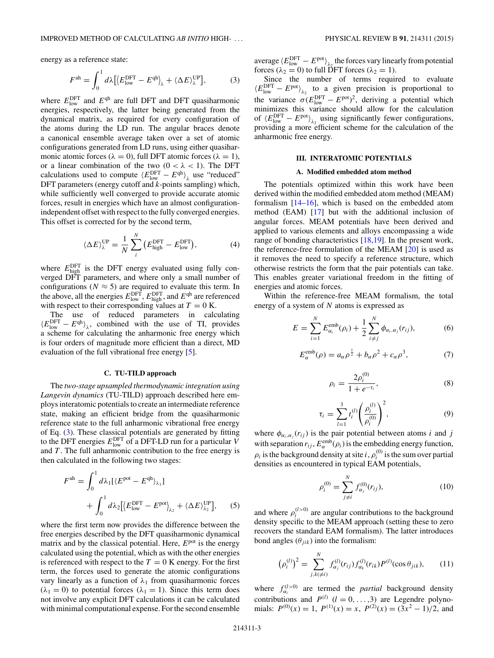<span id="page-2-0"></span>energy as a reference state:

$$
F^{\text{ah}} = \int_0^1 d\lambda \left[ \langle E_{\text{low}}^{\text{DFT}} - E^{\text{qh}} \rangle_{\lambda} + \langle \Delta E \rangle_{\lambda}^{\text{UP}} \right],\tag{3}
$$

where  $E_{\text{low}}^{\text{DFT}}$  and  $E^{\text{qh}}$  are full DFT and DFT quasiharmonic energies, respectively, the latter being generated from the dynamical matrix, as required for every configuration of the atoms during the LD run. The angular braces denote a canonical ensemble average taken over a set of atomic configurations generated from LD runs, using either quasiharmonic atomic forces ( $\lambda = 0$ ), full DFT atomic forces ( $\lambda = 1$ ), or a linear combination of the two  $(0 < \lambda < 1)$ . The DFT calculations used to compute  $\langle E_{\text{low}}^{\text{DFT}} - E^{\text{qh}} \rangle_{\lambda}$  use "reduced" DFT parameters (energy cutoff and *k*-points sampling) which, while sufficiently well converged to provide accurate atomic forces, result in energies which have an almost configurationindependent offset with respect to the fully converged energies. This offset is corrected for by the second term,

$$
\langle \Delta E \rangle_{\lambda}^{\text{UP}} = \frac{1}{N} \sum_{i}^{N} \left( E_{\text{high}}^{\text{DFT}} - E_{\text{low}}^{\text{DFT}} \right), \tag{4}
$$

where  $E_{\text{high}}^{\text{DFT}}$  is the DFT energy evaluated using fully converged DFT parameters, and where only a small number of configurations ( $N \approx 5$ ) are required to evaluate this term. In configurations ( $N \approx 5$ ) are required to evaluate this term. In the above, all the energies  $E_{\text{low}}^{\text{DFT}}, E_{\text{high}}^{\text{DFT}},$  and  $E^{\text{qh}}$  are referenced with respect to their corresponding values at  $T = 0$  K.

The use of reduced parameters in calculating  $\langle E_{\text{low}}^{\text{DFT}} - E^{\text{qh}} \rangle_{\lambda}$ , combined with the use of TI, provides a scheme for calculating the anharmonic free energy which is four orders of magnitude more efficient than a direct, MD evaluation of the full vibrational free energy [\[5\]](#page-6-0).

#### **C. TU-TILD approach**

The *two-stage upsampled thermodynamic integration using Langevin dynamics* (TU-TILD) approach described here employs interatomic potentials to create an intermediate reference state, making an efficient bridge from the quasiharmonic reference state to the full anharmonic vibrational free energy of Eq. (3). These classical potentials are generated by fitting to the DFT energies  $E_{\text{low}}^{\text{DFT}}$  of a DFT-LD run for a particular *V* and *T* . The full anharmonic contribution to the free energy is then calculated in the following two stages:

$$
Fah = \int_0^1 d\lambda_1 [\langle E^{pot} - E^{qh} \rangle_{\lambda_1}] + \int_0^1 d\lambda_2 [\langle E_{low}^{DFT} - E^{pot} \rangle_{\lambda_2} + \langle \Delta E \rangle_{\lambda_2}^{UP}], \quad (5)
$$

where the first term now provides the difference between the free energies described by the DFT quasiharmonic dynamical matrix and by the classical potential. Here,  $E<sup>pot</sup>$  is the energy calculated using the potential, which as with the other energies is referenced with respect to the  $T = 0$  K energy. For the first term, the forces used to generate the atomic configurations vary linearly as a function of  $\lambda_1$  from quasiharmonic forces  $(\lambda_1 = 0)$  to potential forces  $(\lambda_1 = 1)$ . Since this term does not involve any explicit DFT calculations it can be calculated with minimal computational expense. For the second ensemble

average  $\langle E_{\text{low}}^{\text{DFT}} - E_{\text{pot}}^{\text{pot}} \rangle_{\lambda_2}$  the forces vary linearly from potential forces ( $\lambda_2 = 0$ ) to full DFT forces ( $\lambda_2 = 1$ ).

Since the number of terms required to evaluate  $\langle E_{\text{low}}^{\text{DFT}} - E^{\text{pot}} \rangle_{\lambda_2}$  to a given precision is proportional to the variance  $\sigma(E_{\text{low}}^{\text{DFT}} - E^{\text{pot}})^2$ , deriving a potential which minimizes this variance should allow for the calculation of  $\langle E_{\text{low}}^{\text{DFT}} - E^{\text{pot}} \rangle_{\lambda_2}$  using significantly fewer configurations, providing a more efficient scheme for the calculation of the anharmonic free energy.

# **III. INTERATOMIC POTENTIALS**

#### **A. Modified embedded atom method**

The potentials optimized within this work have been derived within the modified embedded atom method (MEAM) formalism  $[14–16]$ , which is based on the embedded atom method (EAM) [\[17\]](#page-6-0) but with the additional inclusion of angular forces. MEAM potentials have been derived and applied to various elements and alloys encompassing a wide range of bonding characteristics [\[18,19\]](#page-6-0). In the present work, the reference-free formulation of the MEAM [\[20\]](#page-7-0) is used as it removes the need to specify a reference structure, which otherwise restricts the form that the pair potentials can take. This enables greater variational freedom in the fitting of energies and atomic forces.

Within the reference-free MEAM formalism, the total energy of a system of *N* atoms is expressed as

$$
E = \sum_{i=1}^{N} E_{\alpha_i}^{\text{emb}}(\rho_i) + \frac{1}{2} \sum_{i \neq j}^{N} \phi_{\alpha_i, \alpha_j}(r_{ij}),
$$
 (6)

$$
E_{\alpha}^{\text{emb}}(\rho) = a_{\alpha}\rho^{\frac{1}{2}} + b_{\alpha}\rho^2 + c_{\alpha}\rho^3,\tag{7}
$$

$$
\rho_i = \frac{2\rho_i^{(0)}}{1 + e^{-\tau_i}},\tag{8}
$$

$$
\tau_i = \sum_{l=1}^3 t_i^{(l)} \left( \frac{\rho_i^{(l)}}{\rho_i^{(0)}} \right)^2, \tag{9}
$$

where  $\phi_{\alpha_i,\alpha_j}(r_{ij})$  is the pair potential between atoms *i* and *j* with separation  $r_{ij}$ ,  $E_{\alpha}^{\text{emb}}(\rho_i)$  is the embedding energy function,  $\rho_i$  is the background density at site *i*,  $\rho_i^{(0)}$  is the sum over partial densities as encountered in typical EAM potentials,

$$
\rho_i^{(0)} = \sum_{j \neq i}^{N} f_{\alpha_j}^{(0)}(r_{ij}),
$$
\n(10)

and where  $\rho_i^{(l>0)}$  are angular contributions to the background density specific to the MEAM approach (setting these to zero recovers the standard EAM formalism). The latter introduces bond angles  $(\theta_{ijk})$  into the formalism:

$$
(\rho_i^{(l)})^2 = \sum_{j,k(\neq i)}^N f_{\alpha_j}^{(l)}(r_{ij}) f_{\alpha_k}^{(l)}(r_{ik}) P^{(l)}(\cos \theta_{jik}), \qquad (11)
$$

where  $f_{\alpha}^{(l>0)}$  are termed the *partial* background density contributions and  $P^{(l)}$  ( $l = 0, \ldots, 3$ ) are Legendre polynomials:  $P^{(0)}(x) = 1$ ,  $P^{(1)}(x) = x$ ,  $P^{(2)}(x) = (3x^2 - 1)/2$ , and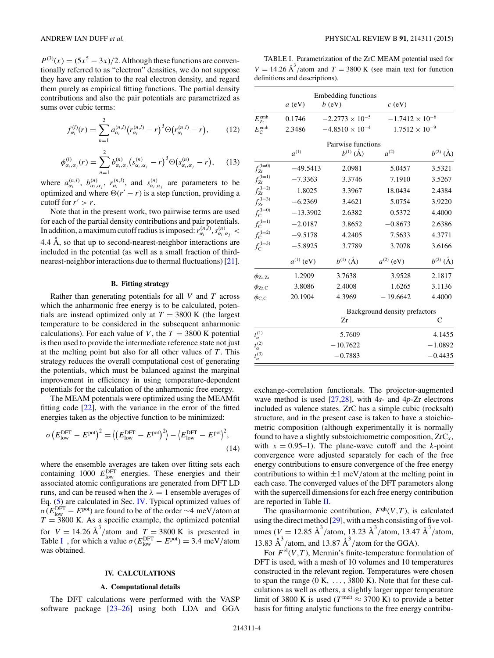<span id="page-3-0"></span> $P^{(3)}(x) = (5x^5 - 3x)/2$ . Although these functions are conventionally referred to as "electron" densities, we do not suppose they have any relation to the real electron density, and regard them purely as empirical fitting functions. The partial density contributions and also the pair potentials are parametrized as sums over cubic terms:

$$
f_{\alpha_i}^{(l)}(r) = \sum_{n=1}^2 a_{\alpha_i}^{(n,l)} (r_{\alpha_i}^{(n,l)} - r)^3 \Theta(r_{\alpha_i}^{(n,l)} - r), \qquad (12)
$$

$$
\phi_{\alpha_i,\alpha_j}^{(l)}(r) = \sum_{n=1}^2 b_{\alpha_i,\alpha_j}^{(n)} \left( s_{\alpha_i,\alpha_j}^{(n)} - r \right)^3 \Theta \left( s_{\alpha_i,\alpha_j}^{(n)} - r \right), \quad (13)
$$

where  $a_{\alpha_i}^{(n,l)}$ ,  $b_{\alpha_i,\alpha_j}^{(n)}$ ,  $r_{\alpha_i}^{(n,l)}$ , and  $s_{\alpha_i,\alpha_j}^{(n)}$  are parameters to be optimized and where  $\Theta(r'-r)$  is a step function, providing a cutoff for  $r' > r$ .

Note that in the present work, two pairwise terms are used for each of the partial density contributions and pair potentials. In addition, a maximum cutoff radius is imposed:  $r_{\alpha_i}^{(n,l)}$ ,  $s_{\alpha_i,\alpha_j}^{(n)}$  < 4.4  $\AA$ , so that up to second-nearest-neighbor interactions are included in the potential (as well as a small fraction of thirdnearest-neighbor interactions due to thermal fluctuations) [\[21\]](#page-7-0).

#### **B. Fitting strategy**

Rather than generating potentials for all *V* and *T* across which the anharmonic free energy is to be calculated, potentials are instead optimized only at  $T = 3800$  K (the largest temperature to be considered in the subsequent anharmonic calculations). For each value of *V*, the  $T = 3800$  K potential is then used to provide the intermediate reference state not just at the melting point but also for all other values of *T* . This strategy reduces the overall computational cost of generating the potentials, which must be balanced against the marginal improvement in efficiency in using temperature-dependent potentials for the calculation of the anharmonic free energy.

The MEAM potentials were optimized using the MEAMfit fitting code [\[22\]](#page-7-0), with the variance in the error of the fitted energies taken as the objective function to be minimized:

$$
\sigma \left( E_{\text{low}}^{\text{DFT}} - E^{\text{pot}} \right)^2 = \left\langle \left( E_{\text{low}}^{\text{DFT}} - E^{\text{pot}} \right)^2 \right\rangle - \left\langle E_{\text{low}}^{\text{DFT}} - E^{\text{pot}} \right\rangle^2, \tag{14}
$$

where the ensemble averages are taken over fitting sets each containing 1000  $E_{\text{low}}^{\text{DFT}}$  energies. These energies and their associated atomic configurations are generated from DFT LD runs, and can be reused when the  $\lambda = 1$  ensemble averages of Eq. [\(5\)](#page-2-0) are calculated in Sec. IV. Typical optimized values of  $\sigma(E_{\text{low}}^{\text{DFT}} - E^{\text{pot}})$  are found to be of the order ∼4 meV/atom at  $T = 3800$  K. As a specific example, the optimized potential for  $V = 14.26 \text{ Å}^3/\text{atom}$  and  $T = 3800 \text{ K}$  is presented in Table I , for which a value  $\sigma(E_{\text{low}}^{\text{DFT}} - E^{\text{pot}}) = 3.4 \text{ meV/atom}$ was obtained.

#### **IV. CALCULATIONS**

#### **A. Computational details**

The DFT calculations were performed with the VASP software package [\[23–26\]](#page-7-0) using both LDA and GGA

TABLE I. Parametrization of the ZrC MEAM potential used for  $V = 14.26 \text{ Å}^3/\text{atom}$  and  $T = 3800 \text{ K}$  (see main text for function definitions and descriptions).

|                         | $a$ (eV)       | <b>Embedding functions</b><br>$b$ (eV) | $c$ (eV)                      |               |
|-------------------------|----------------|----------------------------------------|-------------------------------|---------------|
| $E_{Zr}^{\rm emb}$      | 0.1746         | $-2.2773 \times 10^{-5}$               | $-1.7412 \times 10^{-6}$      |               |
| $E_{\rm C}^{\rm emb}$   | 2.3486         | $-4.8510 \times 10^{-4}$               | $1.7512 \times 10^{-9}$       |               |
|                         |                | Pairwise functions                     |                               |               |
|                         | $a^{(1)}$      | $b^{(1)}$ (Å)                          | $a^{(2)}$                     | $b^{(2)}$ (Å) |
| $f_{Zr}^{(l=0)}$        | $-49.5413$     | 2.0981                                 | 5.0457                        | 3.5321        |
| $f_{Zr}^{(l=1)}$        | $-7.3363$      | 3.3746                                 | 7.1910                        | 3.5267        |
| $f_{Zr}^{(l=2)}$        | 1.8025         | 3.3967                                 | 18.0434                       | 2.4384        |
| $f_{Zr}^{(l=3)}$        | $-6.2369$      | 3.4621                                 | 5.0754                        | 3.9220        |
| $f_{\rm C}^{(\rm l=0)}$ | $-13.3902$     | 2.6382                                 | 0.5372                        | 4.4000        |
| $f_{\rm C}^{(l=1)}$     | $-2.0187$      | 3.8652                                 | $-0.8673$                     | 2.6386        |
| $f_{\rm C}^{(l=2)}$     | $-9.5178$      | 4.2405                                 | 7.5633                        | 4.3771        |
| $f_{\rm C}^{(\rm l=3)}$ | $-5.8925$      | 3.7789                                 | 3.7078                        | 3.6166        |
|                         | $a^{(1)}$ (eV) | $b^{(1)}(\AA)$                         | $a^{(2)}$ (eV)                | $b^{(2)}$ (Å) |
| $\phi_\mathrm{Zr,Zr}$   | 1.2909         | 3.7638                                 | 3.9528                        | 2.1817        |
| $\phi_{\rm Zr,C}$       | 3.8086         | 2.4008                                 | 1.6265                        | 3.1136        |
| $\phi_{\rm C,C}$        | 20.1904        | 4.3969                                 | $-19.6642$                    | 4.4000        |
|                         |                |                                        | Background density prefactors |               |

|                    | Zr         | C         |
|--------------------|------------|-----------|
| $t_{\alpha}^{(1)}$ | 5.7609     | 4.1455    |
| $t_{\alpha}^{(2)}$ | $-10.7622$ | $-1.0892$ |
| $t_{\alpha}^{(3)}$ | $-0.7883$  | $-0.4435$ |

exchange-correlation functionals. The projector-augmented wave method is used [\[27,28\]](#page-7-0), with 4*s*- and 4*p*-Zr electrons included as valence states. ZrC has a simple cubic (rocksalt) structure, and in the present case is taken to have a stoichiometric composition (although experimentally it is normally found to have a slightly substoichiometric composition, ZrC*<sup>x</sup>* , with  $x = 0.95-1$ . The plane-wave cutoff and the *k*-point convergence were adjusted separately for each of the free energy contributions to ensure convergence of the free energy contributions to within  $\pm 1$  meV/atom at the melting point in each case. The converged values of the DFT parameters along with the supercell dimensions for each free energy contribution are reported in Table [II.](#page-4-0)

The quasiharmonic contribution,  $F<sup>qh</sup>(V, T)$ , is calculated using the direct method [\[29\]](#page-7-0), with a mesh consisting of five volumes ( $V = 12.85 \text{ Å}^3/\text{atom}, 13.23 \text{ Å}^3/\text{atom}, 13.47 \text{ Å}^3/\text{atom},$ 13.83  $\text{\AA}^3$ /atom, and 13.87  $\text{\AA}^3$ /atom for the GGA).

For  $F^{\text{el}}(V,T)$ , Mermin's finite-temperature formulation of DFT is used, with a mesh of 10 volumes and 10 temperatures constructed in the relevant region. Temperatures were chosen to span the range (0 K, ..., 3800 K). Note that for these calculations as well as others, a slightly larger upper temperature limit of 3800 K is used ( $T^{\text{melt}} \approx 3700 \text{ K}$ ) to provide a better basis for fitting analytic functions to the free energy contribu-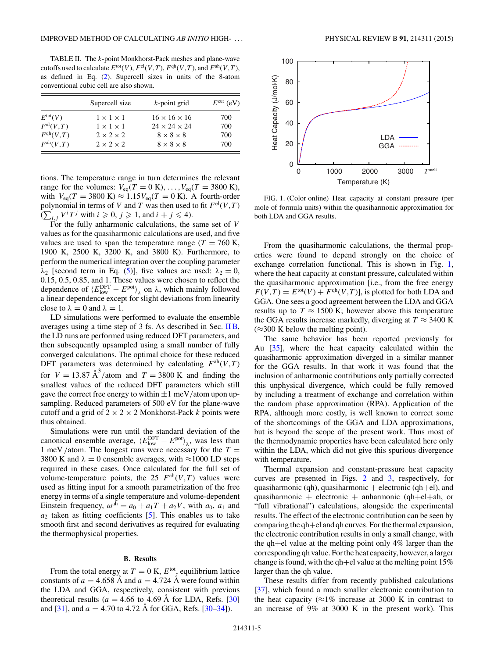<span id="page-4-0"></span>TABLE II. The *k*-point Monkhorst-Pack meshes and plane-wave cutoffs used to calculate  $E^{\text{tot}}(V)$ ,  $F^{\text{el}}(V, T)$ ,  $F^{\text{qh}}(V, T)$ , and  $F^{\text{ah}}(V, T)$ , as defined in Eq. [\(2\)](#page-1-0). Supercell sizes in units of the 8-atom conventional cubic cell are also shown.

|                      | Supercell size        | $k$ -point grid          | $E^{\text{cut}}$ (eV) |
|----------------------|-----------------------|--------------------------|-----------------------|
| $E^{\text{tot}}(V)$  | $1 \times 1 \times 1$ | $16 \times 16 \times 16$ | 700                   |
| $F^{\text{el}}(V,T)$ | $1 \times 1 \times 1$ | $24 \times 24 \times 24$ | 700                   |
| $F^{\text{qh}}(V,T)$ | $2 \times 2 \times 2$ | $8 \times 8 \times 8$    | 700                   |
| $F^{ab}(V,T)$        | $2 \times 2 \times 2$ | $8 \times 8 \times 8$    | 700                   |

tions. The temperature range in turn determines the relevant range for the volumes:  $V_{eq}(T = 0 \text{ K}), \ldots, V_{eq}(T = 3800 \text{ K}),$ with  $V_{eq}(T = 3800 \text{ K}) \approx 1.15V_{eq}(T = 0 \text{ K})$ . A fourth-order polynomial in terms of *V* and *T* was then used to fit  $F^{\text{el}}(V, T)$  $(\sum_{i,j} V^i T^j \text{ with } i \geqslant 0, j \geqslant 1, \text{ and } i + j \leqslant 4).$ 

For the fully anharmonic calculations, the same set of *V* values as for the quasiharmonic calculations are used, and five values are used to span the temperature range ( $T = 760$  K, 1900 K, 2500 K, 3200 K, and 3800 K). Furthermore, to perform the numerical integration over the coupling parameter *λ*<sub>2</sub> [second term in Eq. [\(5\)](#page-2-0)], five values are used:  $λ$ <sub>2</sub> = 0, 0.15, 0.5, 0.85, and 1. These values were chosen to reflect the dependence of  $\langle E_{\text{low}}^{\text{DFT}} - E^{\text{pot}} \rangle_{\lambda}$  on  $\lambda$ , which mainly followed a linear dependence except for slight deviations from linearity close to  $\lambda = 0$  and  $\lambda = 1$ .

LD simulations were performed to evaluate the ensemble averages using a time step of 3 fs. As described in Sec. [II B,](#page-1-0) the LD runs are performed using reduced DFT parameters, and then subsequently upsampled using a small number of fully converged calculations. The optimal choice for these reduced DFT parameters was determined by calculating  $F^{ah}(V,T)$ for  $V = 13.87 \text{ Å}^3/\text{atom}$  and  $T = 3800 \text{ K}$  and finding the smallest values of the reduced DFT parameters which still gave the correct free energy to within  $\pm 1$  meV/atom upon upsampling. Reduced parameters of 500 eV for the plane-wave cutoff and a grid of  $2 \times 2 \times 2$  Monkhorst-Pack *k* points were thus obtained.

Simulations were run until the standard deviation of the canonical ensemble average,  $\langle E_{\text{low}}^{\text{DFT}} - E^{\text{pot}} \rangle_{\lambda}$ , was less than 1 meV */*atom. The longest runs were necessary for the *T* = 3800 K and  $\lambda = 0$  ensemble averages, with  $\approx$ 1000 LD steps required in these cases. Once calculated for the full set of volume-temperature points, the 25  $F<sup>ah</sup>(V,T)$  values were used as fitting input for a smooth parametrization of the free energy in terms of a single temperature and volume-dependent Einstein frequency,  $\omega^{ah} = a_0 + a_1T + a_2V$ , with  $a_0$ ,  $a_1$  and  $a_2$  taken as fitting coefficients  $[5]$ . This enables us to take smooth first and second derivatives as required for evaluating the thermophysical properties.

#### **B. Results**

From the total energy at  $T = 0$  K,  $E^{tot}$ , equilibrium lattice constants of  $a = 4.658 \text{ Å}$  and  $a = 4.724 \text{ Å}$  were found within the LDA and GGA, respectively, consistent with previous theoretical results ( $a = 4.66$  to  $4.69$  Å for LDA, Refs. [[30\]](#page-7-0) and [\[31\]](#page-7-0), and  $a = 4.70$  to 4.72 Å for GGA, Refs. [[30–34\]](#page-7-0)).



FIG. 1. (Color online) Heat capacity at constant pressure (per mole of formula units) within the quasiharmonic approximation for both LDA and GGA results.

From the quasiharmonic calculations, the thermal properties were found to depend strongly on the choice of exchange correlation functional. This is shown in Fig. 1, where the heat capacity at constant pressure, calculated within the quasiharmonic approximation [i.e., from the free energy  $F(V,T) = E^{\text{tot}}(V) + F^{\text{qh}}(V,T)$ , is plotted for both LDA and GGA. One sees a good agreement between the LDA and GGA results up to  $T \approx 1500$  K; however above this temperature the GGA results increase markedly, diverging at  $T \approx 3400$  K  $(\approx 300 \text{ K}$  below the melting point).

The same behavior has been reported previously for Au [\[35\]](#page-7-0), where the heat capacity calculated within the quasiharmonic approximation diverged in a similar manner for the GGA results. In that work it was found that the inclusion of anharmonic contributions only partially corrected this unphysical divergence, which could be fully removed by including a treatment of exchange and correlation within the random phase approximation (RPA). Application of the RPA, although more costly, is well known to correct some of the shortcomings of the GGA and LDA approximations, but is beyond the scope of the present work. Thus most of the thermodynamic properties have been calculated here only within the LDA, which did not give this spurious divergence with temperature.

Thermal expansion and constant-pressure heat capacity curves are presented in Figs. [2](#page-5-0) and [3,](#page-5-0) respectively, for quasiharmonic (qh), quasiharmonic + electronic (qh+el), and quasiharmonic + electronic + anharmonic (qh+el+ah, or "full vibrational") calculations, alongside the experimental results. The effect of the electronic contribution can be seen by comparing the qh+el and qh curves. For the thermal expansion, the electronic contribution results in only a small change, with the qh+el value at the melting point only 4% larger than the corresponding qh value. For the heat capacity, however, a larger change is found, with the qh+el value at the melting point  $15\%$ larger than the qh value.

These results differ from recently published calculations [\[37\]](#page-7-0), which found a much smaller electronic contribution to the heat capacity ( $\approx$ 1% increase at 3000 K in contrast to an increase of 9% at 3000 K in the present work). This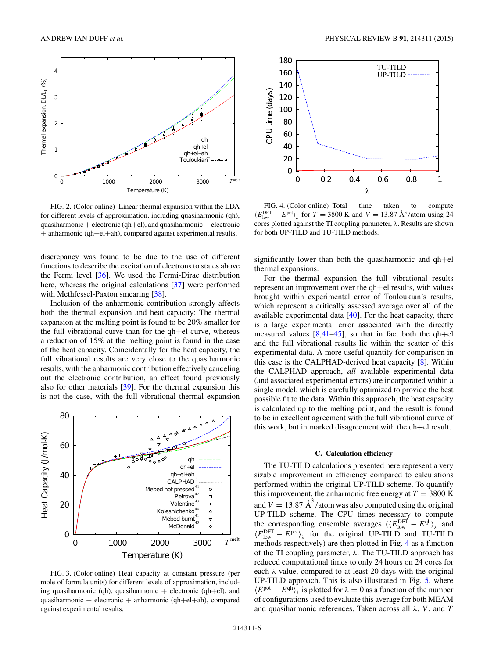<span id="page-5-0"></span>

FIG. 2. (Color online) Linear thermal expansion within the LDA for different levels of approximation, including quasiharmonic (qh), quasiharmonic + electronic (qh+el), and quasiharmonic + electronic + anharmonic (qh+el+ah), compared against experimental results.

discrepancy was found to be due to the use of different functions to describe the excitation of electrons to states above the Fermi level [\[36\]](#page-7-0). We used the Fermi-Dirac distribution here, whereas the original calculations [\[37\]](#page-7-0) were performed with Methfessel-Paxton smearing [\[38\]](#page-7-0).

Inclusion of the anharmonic contribution strongly affects both the thermal expansion and heat capacity: The thermal expansion at the melting point is found to be 20% smaller for the full vibrational curve than for the qh+el curve, whereas a reduction of 15% at the melting point is found in the case of the heat capacity. Coincidentally for the heat capacity, the full vibrational results are very close to the quasiharmonic results, with the anharmonic contribution effectively canceling out the electronic contribution, an effect found previously also for other materials [\[39\]](#page-7-0). For the thermal expansion this is not the case, with the full vibrational thermal expansion



FIG. 3. (Color online) Heat capacity at constant pressure (per mole of formula units) for different levels of approximation, including quasiharmonic (qh), quasiharmonic  $+$  electronic (qh+el), and quasiharmonic + electronic + anharmonic (qh+el+ah), compared against experimental results.



FIG. 4. (Color online) Total time taken to compute  $\langle E_{\text{low}}^{\text{DFT}} - E^{\text{pot}} \rangle_{\lambda}$  for  $T = 3800 \text{ K}$  and  $V = 13.87 \text{ Å}^3/\text{atom}$  using 24 cores plotted against the TI coupling parameter, *λ*. Results are shown for both UP-TILD and TU-TILD methods.

significantly lower than both the quasiharmonic and qh+el thermal expansions.

For the thermal expansion the full vibrational results represent an improvement over the qh+el results, with values brought within experimental error of Touloukian's results, which represent a critically assessed average over all of the available experimental data [\[40\]](#page-7-0). For the heat capacity, there is a large experimental error associated with the directly measured values  $[8,41-45]$  $[8,41-45]$ , so that in fact both the qh+el and the full vibrational results lie within the scatter of this experimental data. A more useful quantity for comparison in this case is the CALPHAD-derived heat capacity [\[8\]](#page-6-0). Within the CALPHAD approach, *all* available experimental data (and associated experimental errors) are incorporated within a single model, which is carefully optimized to provide the best possible fit to the data. Within this approach, the heat capacity is calculated up to the melting point, and the result is found to be in excellent agreement with the full vibrational curve of this work, but in marked disagreement with the qh+el result.

# **C. Calculation efficiency**

The TU-TILD calculations presented here represent a very sizable improvement in efficiency compared to calculations performed within the original UP-TILD scheme. To quantify this improvement, the anharmonic free energy at  $T = 3800$  K and  $V = 13.87 \text{ Å}^3/\text{atom}$  was also computed using the original UP-TILD scheme. The CPU times necessary to compute the corresponding ensemble averages  $(\langle E_{\text{low}}^{\text{DFT}} - E^{\text{qh}} \rangle_{\lambda}$  and  $\langle E_{\text{low}}^{\text{DFT}} - E^{\text{pot}} \rangle_{\lambda}$  for the original UP-TILD and TU-TILD methods respectively) are then plotted in Fig. 4 as a function of the TI coupling parameter, *λ*. The TU-TILD approach has reduced computational times to only 24 hours on 24 cores for each *λ* value, compared to at least 20 days with the original UP-TILD approach. This is also illustrated in Fig. [5,](#page-6-0) where  $\langle E^{\text{pot}} - E^{\text{qh}} \rangle_{\lambda}$  is plotted for  $\lambda = 0$  as a function of the number of configurations used to evaluate this average for both MEAM and quasiharmonic references. Taken across all *λ*, *V* , and *T*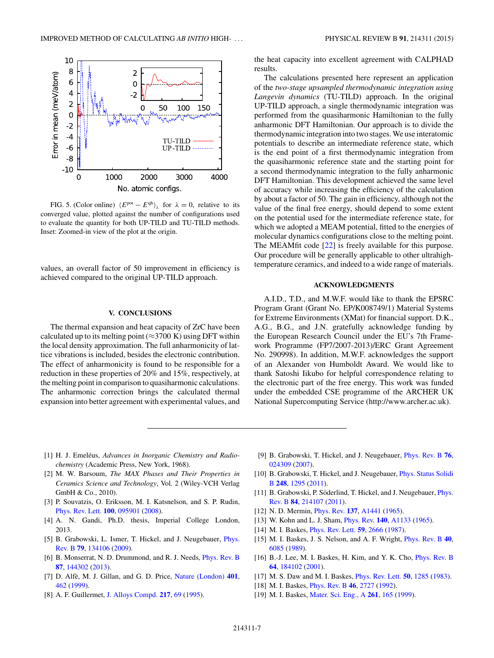<span id="page-6-0"></span>

FIG. 5. (Color online)  $\langle E^{\text{pot}} - E^{\text{qh}} \rangle_{\lambda}$  for  $\lambda = 0$ , relative to its converged value, plotted against the number of configurations used to evaluate the quantity for both UP-TILD and TU-TILD methods. Inset: Zoomed-in view of the plot at the origin.

values, an overall factor of 50 improvement in efficiency is achieved compared to the original UP-TILD approach.

#### **V. CONCLUSIONS**

The thermal expansion and heat capacity of ZrC have been calculated up to its melting point ( $\approx$ 3700 K) using DFT within the local density approximation. The full anharmonicity of lattice vibrations is included, besides the electronic contribution. The effect of anharmonicity is found to be responsible for a reduction in these properties of 20% and 15%, respectively, at the melting point in comparison to quasiharmonic calculations. The anharmonic correction brings the calculated thermal expansion into better agreement with experimental values, and the heat capacity into excellent agreement with CALPHAD results.

The calculations presented here represent an application of the *two-stage upsampled thermodynamic integration using Langevin dynamics* (TU-TILD) approach. In the original UP-TILD approach, a single thermodynamic integration was performed from the quasiharmonic Hamiltonian to the fully anharmonic DFT Hamiltonian. Our approach is to divide the thermodynamic integration into two stages. We use interatomic potentials to describe an intermediate reference state, which is the end point of a first thermodynamic integration from the quasiharmonic reference state and the starting point for a second thermodynamic integration to the fully anharmonic DFT Hamiltonian. This development achieved the same level of accuracy while increasing the efficiency of the calculation by about a factor of 50. The gain in efficiency, although not the value of the final free energy, should depend to some extent on the potential used for the intermediate reference state, for which we adopted a MEAM potential, fitted to the energies of molecular dynamics configurations close to the melting point. The MEAMfit code [\[22\]](#page-7-0) is freely available for this purpose. Our procedure will be generally applicable to other ultrahightemperature ceramics, and indeed to a wide range of materials.

# **ACKNOWLEDGMENTS**

A.I.D., T.D., and M.W.F. would like to thank the EPSRC Program Grant (Grant No. EP/K008749/1) Material Systems for Extreme Environments (XMat) for financial support. D.K., A.G., B.G., and J.N. gratefully acknowledge funding by the European Research Council under the EU's 7th Framework Programme (FP7/2007-2013)/ERC Grant Agreement No. 290998). In addition, M.W.F. acknowledges the support of an Alexander von Humboldt Award. We would like to thank Satoshi Iikubo for helpful correspondence relating to the electronic part of the free energy. This work was funded under the embedded CSE programme of the ARCHER UK National Supercomputing Service (http://www.archer.ac.uk).

- [1] H. J. Emeléus, Advances in Inorganic Chemistry and Radio*chemistry* (Academic Press, New York, 1968).
- [2] M. W. Barsoum, *The MAX Phases and Their Properties in Ceramics Science and Technology*, Vol. 2 (Wiley-VCH Verlag GmbH & Co., 2010).
- [3] P. Souvatzis, O. Eriksson, M. I. Katsnelson, and S. P. Rudin, [Phys. Rev. Lett.](http://dx.doi.org/10.1103/PhysRevLett.100.095901) **[100](http://dx.doi.org/10.1103/PhysRevLett.100.095901)**, [095901](http://dx.doi.org/10.1103/PhysRevLett.100.095901) [\(2008\)](http://dx.doi.org/10.1103/PhysRevLett.100.095901).
- [4] A. N. Gandi, Ph.D. thesis, Imperial College London, 2013.
- [5] [B. Grabowski, L. Ismer, T. Hickel, and J. Neugebauer,](http://dx.doi.org/10.1103/PhysRevB.79.134106) *Phys.* Rev. B **[79](http://dx.doi.org/10.1103/PhysRevB.79.134106)**, [134106](http://dx.doi.org/10.1103/PhysRevB.79.134106) [\(2009\)](http://dx.doi.org/10.1103/PhysRevB.79.134106).
- [6] B. Monserrat, N. D. Drummond, and R. J. Needs, [Phys. Rev. B](http://dx.doi.org/10.1103/PhysRevB.87.144302) **[87](http://dx.doi.org/10.1103/PhysRevB.87.144302)**, [144302](http://dx.doi.org/10.1103/PhysRevB.87.144302) [\(2013\)](http://dx.doi.org/10.1103/PhysRevB.87.144302).
- [7] D. Alfè, M. J. Gillan, and G. D. Price, [Nature \(London\)](http://dx.doi.org/10.1038/46758)  $401$ , [462](http://dx.doi.org/10.1038/46758) [\(1999\)](http://dx.doi.org/10.1038/46758).
- [8] A. F. Guillermet, [J. Alloys Compd.](http://dx.doi.org/10.1016/0925-8388(94)01310-E) **[217](http://dx.doi.org/10.1016/0925-8388(94)01310-E)**, [69](http://dx.doi.org/10.1016/0925-8388(94)01310-E) [\(1995\)](http://dx.doi.org/10.1016/0925-8388(94)01310-E).
- [9] B. Grabowski, T. Hickel, and J. Neugebauer, [Phys. Rev. B](http://dx.doi.org/10.1103/PhysRevB.76.024309) **[76](http://dx.doi.org/10.1103/PhysRevB.76.024309)**, [024309](http://dx.doi.org/10.1103/PhysRevB.76.024309) [\(2007\)](http://dx.doi.org/10.1103/PhysRevB.76.024309).
- [10] [B. Grabowski, T. Hickel, and J. Neugebauer,](http://dx.doi.org/10.1002/pssb.201046302) *Phys. Status Solidi* B **[248](http://dx.doi.org/10.1002/pssb.201046302)**, [1295](http://dx.doi.org/10.1002/pssb.201046302) [\(2011\)](http://dx.doi.org/10.1002/pssb.201046302).
- [11] B. Grabowski, P. Söderlind, T. Hickel, and J. Neugebauer, *Phys.* Rev. B **[84](http://dx.doi.org/10.1103/PhysRevB.84.214107)**, [214107](http://dx.doi.org/10.1103/PhysRevB.84.214107) [\(2011\)](http://dx.doi.org/10.1103/PhysRevB.84.214107).
- [12] N. D. Mermin, [Phys. Rev.](http://dx.doi.org/10.1103/PhysRev.137.A1441) **[137](http://dx.doi.org/10.1103/PhysRev.137.A1441)**, [A1441](http://dx.doi.org/10.1103/PhysRev.137.A1441) [\(1965\)](http://dx.doi.org/10.1103/PhysRev.137.A1441).
- [13] W. Kohn and L. J. Sham, [Phys. Rev.](http://dx.doi.org/10.1103/PhysRev.140.A1133) **[140](http://dx.doi.org/10.1103/PhysRev.140.A1133)**, [A1133](http://dx.doi.org/10.1103/PhysRev.140.A1133) [\(1965\)](http://dx.doi.org/10.1103/PhysRev.140.A1133).
- [14] M. I. Baskes, [Phys. Rev. Lett.](http://dx.doi.org/10.1103/PhysRevLett.59.2666) **[59](http://dx.doi.org/10.1103/PhysRevLett.59.2666)**, [2666](http://dx.doi.org/10.1103/PhysRevLett.59.2666) [\(1987\)](http://dx.doi.org/10.1103/PhysRevLett.59.2666).
- [15] M. I. Baskes, J. S. Nelson, and A. F. Wright, [Phys. Rev. B](http://dx.doi.org/10.1103/PhysRevB.40.6085) **[40](http://dx.doi.org/10.1103/PhysRevB.40.6085)**, [6085](http://dx.doi.org/10.1103/PhysRevB.40.6085) [\(1989\)](http://dx.doi.org/10.1103/PhysRevB.40.6085).
- [16] B.-J. Lee, M. I. Baskes, H. Kim, and Y. K. Cho, *[Phys. Rev. B](http://dx.doi.org/10.1103/PhysRevB.64.184102)* **[64](http://dx.doi.org/10.1103/PhysRevB.64.184102)**, [184102](http://dx.doi.org/10.1103/PhysRevB.64.184102) [\(2001\)](http://dx.doi.org/10.1103/PhysRevB.64.184102).
- [17] M. S. Daw and M. I. Baskes, [Phys. Rev. Lett.](http://dx.doi.org/10.1103/PhysRevLett.50.1285) **[50](http://dx.doi.org/10.1103/PhysRevLett.50.1285)**, [1285](http://dx.doi.org/10.1103/PhysRevLett.50.1285) [\(1983\)](http://dx.doi.org/10.1103/PhysRevLett.50.1285).
- [18] M. I. Baskes, [Phys. Rev. B](http://dx.doi.org/10.1103/PhysRevB.46.2727) **[46](http://dx.doi.org/10.1103/PhysRevB.46.2727)**, [2727](http://dx.doi.org/10.1103/PhysRevB.46.2727) [\(1992\)](http://dx.doi.org/10.1103/PhysRevB.46.2727).
- [19] M. I. Baskes, [Mater. Sci. Eng., A](http://dx.doi.org/10.1016/S0921-5093(98)01062-4) **[261](http://dx.doi.org/10.1016/S0921-5093(98)01062-4)**, [165](http://dx.doi.org/10.1016/S0921-5093(98)01062-4) [\(1999\)](http://dx.doi.org/10.1016/S0921-5093(98)01062-4).